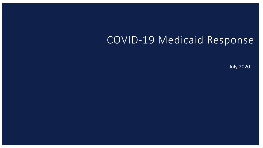# COVID-19 Medicaid Response

July 2020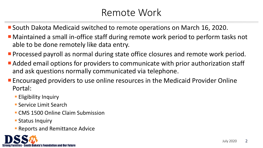# Remote Work

- South Dakota Medicaid switched to remote operations on March 16, 2020.
- Maintained a small in-office staff during remote work period to perform tasks not able to be done remotely like data entry.
- **Processed payroll as normal during state office closures and remote work period.**
- Added email options for providers to communicate with prior authorization staff and ask questions normally communicated via telephone.
- **Encouraged providers to use online resources in the Medicaid Provider Online** Portal:
	- **Eligibility Inquiry**
	- Service Limit Search
	- CMS 1500 Online Claim Submission
	- **Status Inquiry**
	- **Reports and Remittance Advice**

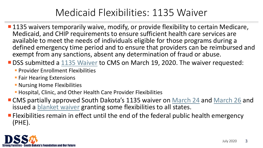# Medicaid Flexibilities: 1135 Waiver

**1135 waivers temporarily waive, modify, or provide flexibility to certain Medicare,** Medicaid, and CHIP requirements to ensure sufficient health care services are available to meet the needs of individuals eligible for those programs during a defined emergency time period and to ensure that providers can be reimbursed and exempt from any sanctions, absent any determination of fraud or abuse.

■ DSS submitted a [1135 Waiver](https://dss.sd.gov/docs/COVID19/SD_1135_Waiver_Request.pdf) to CMS on March 19, 2020. The waiver requested:

- **Provider Enrollment Flexibilities**
- **Fair Hearing Extensions**
- **Nursing Home Flexibilities**
- Hospital, Clinic, and Other Health Care Provider Flexibilities
- CMS partially approved South Dakota's 1135 waiver on [March 24](https://dss.sd.gov/docs/COVID19/3.26.20_Provider_Bulletin_SD_Medicaid_COVID_19_1135_CMS_Response%20.pdf) and [March 26](https://dss.sd.gov/docs/COVID19/3.29.20%20Provider%20Bulletin_SD%20Medicaid%20COVID-19%201135%20CMS%20Second%20Response%20.pdf) and issued a [blanket waiver](https://dss.sd.gov/docs/COVID19/CMS_Waiver_Approvals3.26.2020.pdf) granting some flexibilities to all states.
- **Filexibilities remain in effect until the end of the federal public health emergency** (PHE).

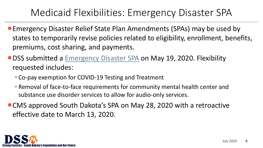# Medicaid Flexibilities: Emergency Disaster SPA

- **Examber 20 Femergency Disaster Relief State Plan Amendments (SPAs) may be used by** states to temporarily revise policies related to eligibility, enrollment, benefits, premiums, cost sharing, and payments.
- **DSS submitted a [Emergency Disaster SPA](https://dss.sd.gov/docs/medicaid/medicaidstateplan/COVID-19_Public_Health_Emergency_Flexibilities.pdf) on May 19, 2020. Flexibility** requested includes:
	- Co-pay exemption for COVID-19 Testing and Treatment
	- Removal of face-to-face requirements for community mental health center and substance use disorder services to allow for audio-only services.
- CMS approved South Dakota's SPA on May 28, 2020 with a retroactive effective date to March 13, 2020.

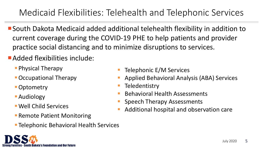# Medicaid Flexibilities: Telehealth and Telephonic Services

- South Dakota Medicaid added additional telehealth flexibility in addition to current coverage during the COVID-19 PHE to help patients and provider practice social distancing and to minimize disruptions to services.
- Added flexibilities include:
	- **Physical Therapy**
	- Occupational Therapy
	- Optometry
	- **Audiology**
	- Well Child Services

nilies - South Dakota's Foundation and Our Future

- **Remote Patient Monitoring**
- **Telephonic Behavioral Health Services**
- Telephonic E/M Services
- Applied Behavioral Analysis (ABA) Services
- **Teledentistry**
- Behavioral Health Assessments
- Speech Therapy Assessments
- Additional hospital and observation care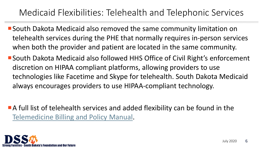# Medicaid Flexibilities: Telehealth and Telephonic Services

- South Dakota Medicaid also removed the same community limitation on telehealth services during the PHE that normally requires in-person services when both the provider and patient are located in the same community.
- South Dakota Medicaid also followed HHS Office of Civil Right's enforcement discretion on HIPAA compliant platforms, allowing providers to use technologies like Facetime and Skype for telehealth. South Dakota Medicaid always encourages providers to use HIPAA-compliant technology.
- A full list of telehealth services and added flexibility can be found in the [Telemedicine Billing and Policy Manual.](https://dss.sd.gov/docs/medicaid/providers/billingmanuals/Telemedicine.pdf)

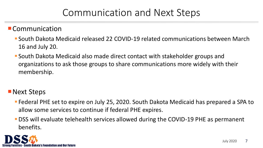# Communication and Next Steps

**E** Communication

- South Dakota Medicaid released 22 COVID-19 related communications between March 16 and July 20.
- South Dakota Medicaid also made direct contact with stakeholder groups and organizations to ask those groups to share communications more widely with their membership.

**Next Steps** 

- Federal PHE set to expire on July 25, 2020. South Dakota Medicaid has prepared a SPA to allow some services to continue if federal PHE expires.
- DSS will evaluate telehealth services allowed during the COVID-19 PHE as permanent benefits.

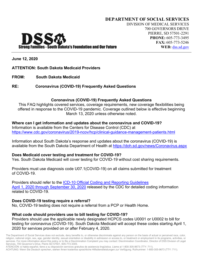**June 12, 2020**

#### **ATTENTION: South Dakota Medicaid Providers**

**FROM: South Dakota Medicaid**

DSS

#### **RE: Coronavirus (COVID-19) Frequently Asked Questions**

#### **Coronavirus (COVID-19) Frequently Asked Questions**

This FAQ highlights covered services, coverage requirements, new coverage flexibilities being offered in response to the COVID-19 pandemic. Coverage outlined below is effective beginning March 13, 2020 unless otherwise noted.

#### **Where can I get information and updates about the coronavirus and COVID-19?**

Information is available from the Centers for Disease Control (CDC) at <https://www.cdc.gov/coronavirus/2019-ncov/hcp/clinical-guidance-management-patients.html>

Information about South Dakota's response and updates about the coronavirus (COVID-19) is available from the South Dakota Department of Health at<https://doh.sd.gov/news/Coronavirus.aspx>

#### **Does Medicaid cover testing and treatment for COVID-19?**

Yes. South Dakota Medicaid will cover testing for COVID-19 without cost sharing requirements.

Providers must use diagnosis code U07.1(COVID-19) on all claims submitted for treatment of COVID-19.

Providers should refer to the [ICD-10 Official Coding and Reporting Guidelines](https://www.cdc.gov/nchs/data/icd/COVID-19-guidelines-final.pdf) [April 1, 2020 through September 30, 2020](https://www.cdc.gov/nchs/data/icd/COVID-19-guidelines-final.pdf) released by the CDC for detailed coding information related to COVID-19.

#### **Does COVID-19 testing require a referral?**

No, COVID-19 testing does not require a referral from a PCP or Health Home.

#### **What code should providers use to bill testing for COVID-19?**

Providers should use the applicable newly designated HCPCS codes U0001 or U0002 to bill for testing for coronavirus (COVID-19). South Dakota Medicaid will accept these codes starting April 1, 2020 for services provided on or after February 4, 2020.

The Department of Social Services does not exclude, deny benefits to, or otherwise discriminate against any person on the basis of actual or perceived race, color, religion, national origin, sex, age, gender identity, sexual orientation or disability in admission or access to, or treatment or employment in its programs, activities, or services. For more information about this policy or to file a Discrimination Complaint you may contact: Discrimination Coordinator, Director of DSS Division of Legal Services, 700 Governor's Drive, Pierre SD 57501, 605-773-3305.

ATENCIÓN: si habla español, tiene a su disposición servicios gratuitos de asistencia lingüística. Llame al 1-800-305-9673 (TTY: 711).

ACHTUNG: Wenn Sie Deutsch sprechen, stehen Ihnen kostenlos sprachliche Hilfsdienstleistungen zur Verfügung. Rufnummer: 1-800-305-9673 (TTY: 711).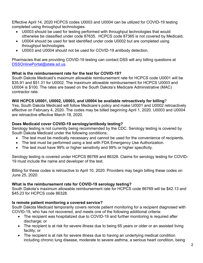Effective April 14, 2020 HCPCS codes U0003 and U0004 can be utilized for COVID-19 testing completed using throughput technologies.

- U0003 should be used for testing performed with throughput technologies that would otherwise be classified under code 87635. HCPCS code 87365 is not covered by Medicaid,
- U0004 should be used for test identified under code U0002 but are completed using throughput technologies.
- U0003 and U0004 should not be used for COVID-19 antibody detection.

Pharmacies that are providing COVID-19 testing can contact DSS will any billing questions at [DSSOnlinePortal@state.sd.us.](mailto:DSSOnlinePortal@state.sd.us)

## **What is the reimbursement rate for the test for COVID-19?**

South Dakota Medicaid's maximum allowable reimbursement rate for HCPCS code U0001 will be \$35.91 and \$51.31 for U0002. The maximum allowable reimbursement for HCPCS U0003 and U0004 is \$100. The rates are based on the South Dakota's Medicare Administrative (MAC) contractor rate.

#### **Will HCPCS U0001, U0002, U0003, and U0004 be available retroactively for billing**?

Yes, South Dakota Medicaid will follow Medicare's policy and make U0001 and U0002 retroactively effective on February 4, 2020. The codes may be billed beginning April 1, 2020. U0003 and U0004 are retroactive effective March 18, 2020.

#### **Does Medicaid cover COVID-19 serology/antibody testing?**

Serology testing is not currently being recommended by the CDC. Serology testing is covered by South Dakota Medicaid under the following conditions:

- The test must be medically necessary and cannot be used for the convenience of recipients.
- The test must be performed using a test with FDA Emergency Use Authorization.
- The test must have 99% or higher sensitivity and 99% or higher specificity.

Serology testing is covered under HCPCS 86769 and 86328. Claims for serology testing for COVID-19 must include the name and developer of the test.

Billing for these codes is retroactive to April 10, 2020. Providers may begin billing these codes on June 25, 2020.

## **What is the reimbursement rate for COVID-19 serology testing?**

South Dakota's maximum allowable reimbursement rate for HCPCS code 86769 will be \$42.13 and \$45.23 for HCPCS code 86328.

## **Is remote patient monitoring a covered service?**

South Dakota Medicaid temporarily covers remote patient monitoring for a recipient diagnosed with COVID-19, who has not recovered, and meets one of the following additional criteria:

- The recipient was hospitalized due to COVID-19 and further monitoring is required after discharge; or
- The recipient is at risk for severe illness due to being 65 years or older or an assisted living facility; or
- The recipient is at risk for severe illness due to having an underlying medical condition including chronic lung disease, moderate to severe asthma, a serious heart condition, being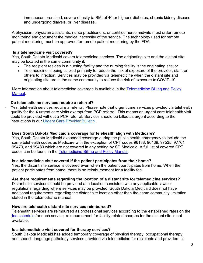immunocompromised, severe obesity (a BMI of 40 or higher), diabetes, chronic kidney disease and undergoing dialysis, or liver disease.

A physician, physician assistants, nurse practitioners, or certified nurse midwife must order remote monitoring and document the medical necessity of the service. The technology used for remote patient monitoring must be approved for remote patient monitoring by the FDA.

#### **Is a telemedicine visit covered?**

Yes, South Dakota Medicaid covers telemedicine services. The originating site and the distant site may be located in the same community if:

- The recipient resides in a nursing facility and the nursing facility is the originating site; or
- Telemedicine is being utilized primarily to reduce the risk of exposure of the provider, staff, or others to infection. Services may be provided via telemedicine when the distant site and originating site are in the same community to reduce the risk of exposure to COVID-19.

More information about telemedicine coverage is available in the [Telemedicine Billing and Policy](https://dss.sd.gov/docs/medicaid/providers/billingmanuals/Telemedicine.pdf) [Manual.](https://dss.sd.gov/docs/medicaid/providers/billingmanuals/Telemedicine.pdf)

## **Do telemedicine services require a referral?**

- Yes, telehealth services require a referral. Please note that urgent care services provided via telehealth qualify for the 4 urgent care visits exempt from PCP referral. This means an urgent care telehealth visit could be provided without a PCP referral. Services should be billed as urgent according to the instructions in our [Urgent Care Provider Bulletin.](https://dss.sd.gov/docs/medicaid/providers/ProviderBulletins/2019/Urgent%20Care%20Bulletin.pdf)

## **Does South Dakota Medicaid's coverage for telehealth align with Medicare?**

Yes, South Dakota Medicaid expanded coverage during the public health emergency to include the same telehealth codes as Medicare with the exception of CPT codes 96138, 96139, 97535, 97761 99473, and 99483 which are not covered in any setting by SD Medicaid. A full list of covered CPT codes can be found in the [Telemedicine Billing and Policy Manual.](https://dss.sd.gov/docs/medicaid/providers/billingmanuals/Telemedicine.pdf)

## **Is a telemedicine visit covered if the patient participates from their home?**

Yes, the distant site service is covered even when the patient participates from home. When the patient participates from home, there is no reimbursement for a facility fee.

## **Are there requirements regarding the location of a distant site for telemedicine services?**

Distant site services should be provided at a location consistent with any applicable laws or regulations regarding where services may be provided. South Dakota Medicaid does not have additional requirements regarding the distant site location other than the same community limitation stated in the telemedicine manual.

#### **How are telehealth distant site services reimbursed?**

Telehealth services are reimbursed as professional services according to the established rates on the [fee schedule](https://dss.sd.gov/medicaid/providers/feeschedules/dss/) for each service; reimbursement for facility related charges for the distant site is not available.

## **Is a telemedicine visit covered for therapy services?**

South Dakota Medicaid has added temporary coverage of physical therapy, occupational therapy, and speech-language pathology services provided via telemedicine for recipients and providers at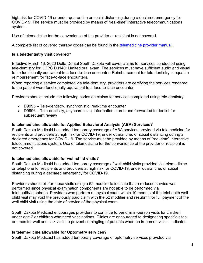high risk for COVID-19 or under quarantine or social distancing during a declared emergency for COVID-19. The service must be provided by means of "real-time" interactive telecommunications system.

Use of telemedicine for the convenience of the provider or recipient is not covered.

A complete list of covered therapy codes can be found in the [telemedicine provider manual.](https://dss.sd.gov/docs/medicaid/providers/billingmanuals/Telemedicine.pdf)

#### **Is a teledentistry visit covered?**

Effective March 16, 2020 Delta Dental South Dakota will cover claims for services conducted using tele-dentistry for HCPC D0140: Limited oral exam. The services must have sufficient audio and visual to be functionally equivalent to a face-to-face encounter. Reimbursement for tele-dentistry is equal to reimbursement for face-to-face encounters.

When reporting a service completed via tele-dentistry, providers are certifying the services rendered to the patient were functionally equivalent to a face-to-face encounter.

Providers should include the following codes on claims for services completed using tele-dentistry:

- D9995 Tele-dentistry, synchronistic; real-time encounter
- D9996 Tele-dentistry, asynchronistic; information stored and forwarded to dentist for subsequent review

## **Is telemedicine allowable for Applied Behavioral Analysis (ABA) Services?**

South Dakota Medicaid has added temporary coverage of ABA services provided via telemedicine for recipients and providers at high risk for COVID-19, under quarantine, or social distancing during a declared emergency for COVID-19. The service must be provided by means of "real-time" interactive telecommunications system. Use of telemedicine for the convenience of the provider or recipient is not covered.

## **Is telemedicine allowable for well-child visits?**

South Dakota Medicaid has added temporary coverage of well-child visits provided via telemedicine or telephone for recipients and providers at high risk for COVID-19, under quarantine, or social distancing during a declared emergency for COVID-19.

Providers should bill for these visits using a 52 modifier to indicate that a reduced service was performed since physical examination components are not able to be performed via telehealth/telephone. Providers who perform a physical exam within 10 months of the telehealth well child visit may void the previously paid claim with the 52 modifier and resubmit for full payment of the well child visit using the date of service of the physical exam.

South Dakota Medicaid encourages providers to continue to perform in-person visits for children under age 2 or children who need vaccinations. Clinics are encouraged to designating specific sites or times for well and sick visits to prevent comingling of patients when an in-person visit is indicated.

## **Is telemedicine allowable for Optometry services?**

South Dakota Medicaid has added temporary coverage of optometry services provided via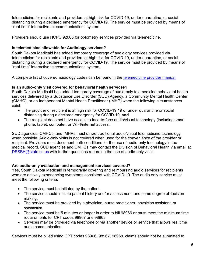telemedicine for recipients and providers at high risk for COVID-19, under quarantine, or social distancing during a declared emergency for COVID-19. The service must be provided by means of "real-time" interactive telecommunications system.

Providers should use HCPC 92065 for optometry services provided via telemedicine.

# **Is telemedicine allowable for Audiology services?**

South Dakota Medicaid has added temporary coverage of audiology services provided via telemedicine for recipients and providers at high risk for COVID-19, under quarantine, or social distancing during a declared emergency for COVID-19. The service must be provided by means of "real-time" interactive telecommunications system.

A complete list of covered audiology codes can be found in the [telemedicine provider manual.](https://dss.sd.gov/docs/medicaid/providers/billingmanuals/Telemedicine.pdf)

# **Is an audio-only visit covered for behavioral health services?**

South Dakota Medicaid has added temporary coverage of audio-only telemedicine behavioral health services delivered by a Substance Use Disorder (SUD) Agency, a Community Mental Health Center (CMHC), or an Independent Mental Health Practitioner (IMHP) when the following circumstances exist:

- The provider or recipient is at high risk for COVID-19 19 or under quarantine or social distancing during a declared emergency for COVID-19; **and**
- The recipient does not have access to face-to-face audio/visual technology (including smart phone, tablet, computer, or WIFI/internet access.

SUD agencies, CMHCs, and IMHPs must utilize traditional audio/visual telemedicine technology when possible. Audio-only visits is not covered when used for the convenience of the provider or recipient. Providers must document both conditions for the use of audio-only technology in the medical record. SUD agencies and CMHCs may contact the Division of Behavioral Health via email at [DSSBH@state.sd.us](mailto:DSSBH@state.sd.us) with further questions regarding the use of audio-only visits.

# **Are audio-only evaluation and management services covered?**

Yes, South Dakota Medicaid is temporarily covering and reimbursing audio services for recipients who are actively experiencing symptoms consistent with COVID-19. The audio only service must meet the following criteria:

- The service must be initiated by the patient.
- The service should include patient history and/or assessment, and some degree ofdecision making.
- The service must be provided by a physician, nurse practitioner, physician assistant, or optometrist.
- The service must be 5 minutes or longer in order to bill 98966 or must meet the minimum time requirements for CPT codes 98967 and 98968.
- Services may be provided via telephone or via another device or service that allows real time audio communication.

Services must be billed using CPT codes 98966, 98967, 98968. claims should not be submitted to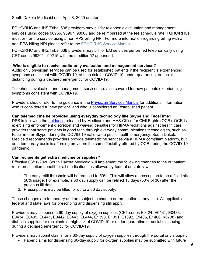South Dakota Medicaid until April 8, 2020 or later.

FQHC/RHC and IHS/Tribal 638 providers may bill for telephonic evaluation and management services using codes 98966, 98967, 98968 and be reimbursed at the fee schedule rate. FQHC/RHCs must bill for the service using a non-PPS billing NPI. For more information regarding billing with a non-PPS billing NPI please refer to the [FQHC/RHC Service Manual.](https://dss.sd.gov/docs/medicaid/providers/billingmanuals/FQHCan%20RHC.pdf)

FQHC/RHC and IHS/Tribal 638 providers may bill for EM services performed telephonically using CPT codes 99201 - 99215 with the modifier 52 appended.

#### **Who is eligible to receive audio-only evaluation and management services?**

Audio only physician services can be used for established patients if the recipient is experiencing symptoms consistent with COVID-19, at high risk for COVID-19, under quarantine, or social distancing during a declared emergency for COVID-19.

Telephonic evaluation and management services are also covered for new patients experiencing symptoms consistent with COVID-19.

Providers should refer to the guidance in the [Physician Services Manual](https://dss.sd.gov/docs/medicaid/providers/billingmanuals/PhysicianServices.pdf) for additional information who is considered a "new patient" and who is considered an "established patient

## **Can telemedicine be provided using everyday technology like Skype and FaceTime?**

DSS is following the [guidance](https://www.cms.gov/newsroom/fact-sheets/medicare-telemedicine-health-care-provider-fact-sheet) released by Medicare and HHS Office for Civil Rights (OCR). OCR is exercising enforcement discretion and waiving penalties for HIPAA violations against health care providers that serve patients in good faith through everyday communications technologies, such as FaceTime or Skype, during the COVID-19 nationwide public health emergency. South Dakota Medicaid recommends providers provide telemedicine services via a HIPAA compliant platform, but on a temporary basis is affording providers the same flexibility offered by OCR during the COVID-19 pandemic.

## **Can recipients get extra medicine or supplies?**

Effective 03/16/2020 South Dakota Medicaid will implement the following changes to the outpatient retail prescription benefit for all medications as allowed by federal or state law:

- 1. The early refill threshold will be reduced to 50%. This will allow a prescription to be refilled after 50% usage. For example, a 30 day supply can be refilled 15 days (50% of 30) after the previous fill date.
- 2. Prescriptions may be filled for up to a 60 day supply.

These changes are temporary and are subject to change or termination at any time. All applicable federal and state laws for prescribing and dispensing still apply.

Providers may dispense a 60-day supply of oxygen supplies (CPT codes E0424, E0431, E0433, E0434, E0439, E0441, E0442, E0443, E0444, E1390, E1391, E1392, E1405, E1406, K0738) and diabetic supplies for recipients at high risk of COVID-19 or under quarantine or social distancing during a declared emergency for COVID-19.

Providers may submit claims for a 60-day supply of oxygen supplies through the portal or via paper.

• Paper claims for dispensing 60-day supply for oxygen supplies may be submitted with future